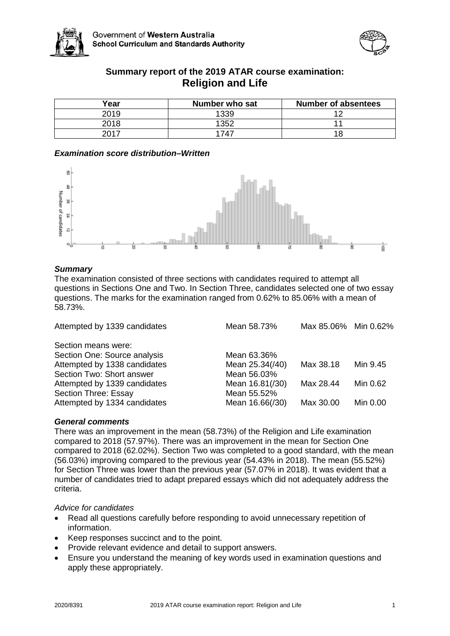



# **Summary report of the 2019 ATAR course examination: Religion and Life**

| Year | Number who sat | <b>Number of absentees</b> |
|------|----------------|----------------------------|
| 2019 | 1339           | 1 C                        |
| 2018 | 1352           |                            |
| 2017 | 1747           |                            |

## *Examination score distribution–Written*



## *Summary*

The examination consisted of three sections with candidates required to attempt all questions in Sections One and Two. In Section Three, candidates selected one of two essay questions. The marks for the examination ranged from 0.62% to 85.06% with a mean of 58.73%.

| Attempted by 1339 candidates | Mean 58.73%     | Max 85.06% Min 0.62% |          |
|------------------------------|-----------------|----------------------|----------|
| Section means were:          |                 |                      |          |
| Section One: Source analysis | Mean 63.36%     |                      |          |
| Attempted by 1338 candidates | Mean 25.34(/40) | Max 38.18            | Min 9.45 |
| Section Two: Short answer    | Mean 56.03%     |                      |          |
| Attempted by 1339 candidates | Mean 16.81(/30) | Max 28.44            | Min 0.62 |
| Section Three: Essay         | Mean 55.52%     |                      |          |
| Attempted by 1334 candidates | Mean 16.66(/30) | Max 30.00            | Min 0.00 |

## *General comments*

There was an improvement in the mean (58.73%) of the Religion and Life examination compared to 2018 (57.97%). There was an improvement in the mean for Section One compared to 2018 (62.02%). Section Two was completed to a good standard, with the mean (56.03%) improving compared to the previous year (54.43% in 2018). The mean (55.52%) for Section Three was lower than the previous year (57.07% in 2018). It was evident that a number of candidates tried to adapt prepared essays which did not adequately address the criteria.

## *Advice for candidates*

- Read all questions carefully before responding to avoid unnecessary repetition of information.
- Keep responses succinct and to the point.
- Provide relevant evidence and detail to support answers.
- Ensure you understand the meaning of key words used in examination questions and apply these appropriately.